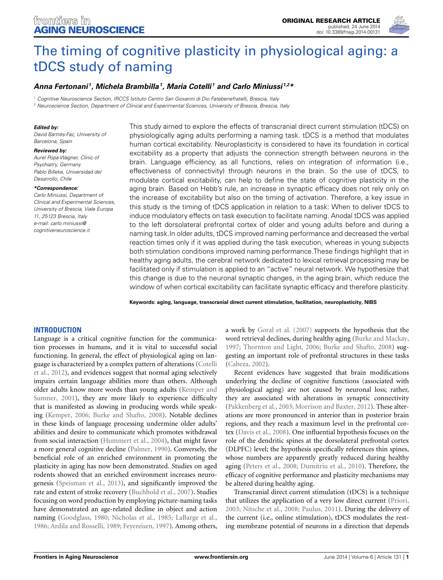

# [The timing of cognitive plasticity in physiological aging: a](http://www.frontiersin.org/journal/10.3389/fnagi.2014.00131/abstract) tDCS study of naming

# *[Anna Fertonani](http://community.frontiersin.org/people/u/147780) 1, [Michela Brambilla1](http://community.frontiersin.org/people/u/64034), [Maria Cotelli](http://community.frontiersin.org/people/u/20229) <sup>1</sup> and [Carlo Miniussi](http://community.frontiersin.org/people/u/24096) 1,2\**

*<sup>1</sup> Cognitive Neuroscience Section, IRCCS Istituto Centro San Giovanni di Dio Fatebenefratelli, Brescia, Italy*

*<sup>2</sup> Neuroscience Section, Department of Clinical and Experimental Sciences, University of Brescia, Brescia, Italy*

#### *Edited by:*

*David Bartrés-Faz, University of Barcelona, Spain*

#### *Reviewed by:*

*Aurel Popa-Wagner, Clinic of Psychiatry, Germany Pablo Billeke, Universidad del Desarrollo, Chile*

#### *\*Correspondence:*

*Carlo Miniussi, Department of Clinical and Experimental Sciences, University of Brescia, Viale Europa 11, 25123 Brescia, Italy e-mail: [carlo.miniussi@](mailto:carlo.miniussi@cognitiveneuroscience.it) [cognitiveneuroscience.it](mailto:carlo.miniussi@cognitiveneuroscience.it)*

This study aimed to explore the effects of transcranial direct current stimulation (tDCS) on physiologically aging adults performing a naming task. tDCS is a method that modulates human cortical excitability. Neuroplasticity is considered to have its foundation in cortical excitability as a property that adjusts the connection strength between neurons in the brain. Language efficiency, as all functions, relies on integration of information (i.e., effectiveness of connectivity) through neurons in the brain. So the use of tDCS, to modulate cortical excitability, can help to define the state of cognitive plasticity in the aging brain. Based on Hebb's rule, an increase in synaptic efficacy does not rely only on the increase of excitability but also on the timing of activation. Therefore, a key issue in this study is the timing of tDCS application in relation to a task: When to deliver tDCS to induce modulatory effects on task execution to facilitate naming. Anodal tDCS was applied to the left dorsolateral prefrontal cortex of older and young adults before and during a naming task.In older adults, tDCS improved naming performance and decreased the verbal reaction times only if it was applied during the task execution, whereas in young subjects both stimulation conditions improved naming performance.These findings highlight that in healthy aging adults, the cerebral network dedicated to lexical retrieval processing may be facilitated only if stimulation is applied to an "active" neural network. We hypothesize that this change is due to the neuronal synaptic changes, in the aging brain, which reduce the window of when cortical excitability can facilitate synaptic efficacy and therefore plasticity.

**Keywords: aging, language, transcranial direct current stimulation, facilitation, neuroplasticity, NIBS**

## **INTRODUCTION**

Language is a critical cognitive function for the communication processes in humans, and it is vital to successful social functioning. In general, the effect of physiological aging on languag[e is characterized by a complex pattern of alterations \(](#page-7-0)Cotelli et al., [2012](#page-7-0)), and evidences suggest that normal aging selectively impairs certain language abilities more than others. Although older a[dults know more words than young adults \(](#page-7-1)Kemper and Sumner, [2001\)](#page-7-1), they are more likely to experience difficulty that is manifested as slowing in producing words while speaking [\(Kemper, 2006;](#page-7-2) [Burke and Shafto, 2008](#page-7-3)). Notable declines in these kinds of language processing undermine older adults' abilities and desire to communicate which promotes withdrawal from social interaction [\(Hummert et al., 2004](#page-7-4)), that might favor a more general cognitive decline [\(Palmer](#page-8-0), [1990](#page-8-0)). Conversely, the beneficial role of an enriched environment in promoting the plasticity in aging has now been demonstrated. Studies on aged rodents showed that an enriched environment increases neurogenesis [\(Speisman et al., 2013\)](#page-8-1), and significantly improved the rate and extent of stroke recovery [\(Buchhold et al., 2007](#page-7-5)). Studies focusing on word production by employing picture-naming tasks have demonstrated an age-related decline in object and action naming [\(Goodglass, 1980;](#page-7-6) [Nicholas et al.](#page-7-7), [1985](#page-7-7); [LaBarge et al.,](#page-7-8) [1986](#page-7-8); [Ardila and Rosselli, 1989](#page-7-9); [Feyereisen, 1997\)](#page-7-10). Among others,

a work by [Goral et al.](#page-7-11) [\(2007\)](#page-7-11) supports the hypothesis that the word retrieval declines, during healthy aging [\(Burke and Mackay,](#page-7-12) [1997](#page-7-12); [Thornton and Light](#page-8-2), [2006](#page-8-2); [Burke and Shafto, 2008\)](#page-7-3) suggesting an important role of prefrontal structures in these tasks [\(Cabeza](#page-7-13), [2002\)](#page-7-13).

Recent evidences have suggested that brain modifications underlying the decline of cognitive functions (associated with physiological aging) are not caused by neuronal loss; rather, they are associated with alterations in synaptic connectivity [\(Pakkenberg et al.](#page-8-3), [2003;](#page-8-3) [Morrison and Baxter, 2012](#page-7-14)). These alterations are more pronounced in anterior than in posterior brain regions, and they reach a maximum level in the prefrontal cortex [\(Davis et al., 2008\)](#page-7-15). One influential hypothesis focuses on the role of the dendritic spines at the dorsolateral prefrontal cortex (DLPFC) level; the hypothesis specifically references thin spines, whose numbers are apparently greatly reduced during healthy aging [\(Peters et al.](#page-8-4), [2008;](#page-8-4) [Dumitriu et al., 2010](#page-7-16)). Therefore, the efficacy of cognitive performance and plasticity mechanisms may be altered during healthy aging.

Transcranial direct current stimulation (tDCS) is a technique that utilizes the application of a very low direct current [\(Priori,](#page-8-5) [2003](#page-8-5); [Nitsche et al.](#page-7-17), [2008;](#page-7-17) [Paulus](#page-8-6), [2011\)](#page-8-6). During the delivery of the current (i.e., online stimulation), tDCS modulates the resting membrane potential of neurons in a direction that depends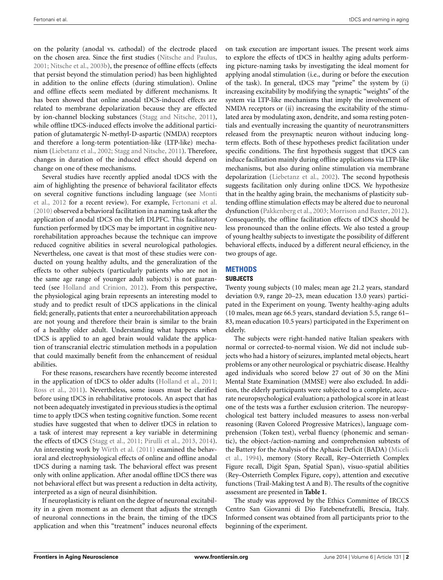on the polarity (anodal vs. cathodal) of the electrode placed on the chosen area. Since the first studies [\(Nitsche and Paulus,](#page-8-7) [2001](#page-8-7); [Nitsche et al., 2003b](#page-8-8)), the presence of offline effects (effects that persist beyond the stimulation period) has been highlighted in addition to the online effects (during stimulation). Online and offline effects seem mediated by different mechanisms. It has been showed that online anodal tDCS-induced effects are related to membrane depolarization because they are effected by ion-channel blocking substances [\(Stagg and Nitsche, 2011](#page-8-9)), while offline tDCS-induced effects involve the additional participation of glutamatergic N-methyl-D-aspartic (NMDA) receptors and therefore a long-term potentiation-like (LTP-like) mechanism [\(Liebetanz et al., 2002](#page-7-18); [Stagg and Nitsche, 2011](#page-8-9)). Therefore, changes in duration of the induced effect should depend on change on one of these mechanisms.

Several studies have recently applied anodal tDCS with the aim of highlighting the presence of behavioral facilitator effects on s[everal cognitive functions including language \(see](#page-7-19) Monti et al., [2012](#page-7-19) for a recent review). For example, [Fertonani et al.](#page-7-20) [\(2010\)](#page-7-20) observed a behavioral facilitation in a naming task after the application of anodal tDCS on the left DLPFC. This facilitatory function performed by tDCS may be important in cognitive neurorehabilitation approaches because the technique can improve reduced cognitive abilities in several neurological pathologies. Nevertheless, one caveat is that most of these studies were conducted on young healthy adults, and the generalization of the effects to other subjects (particularly patients who are not in the same age range of younger adult subjects) is not guaranteed (see [Holland and Crinion, 2012\)](#page-7-21). From this perspective, the physiological aging brain represents an interesting model to study and to predict result of tDCS applications in the clinical field; generally, patients that enter a neurorehabilitation approach are not young and therefore their brain is similar to the brain of a healthy older adult. Understanding what happens when tDCS is applied to an aged brain would validate the application of transcranial electric stimulation methods in a population that could maximally benefit from the enhancement of residual abilities.

For these reasons, researchers have recently become interested in the application of tDCS to older adults [\(Holland et al.](#page-7-22), [2011;](#page-7-22) [Ross et al.](#page-8-10), [2011\)](#page-8-10). Nevertheless, some issues must be clarified before using tDCS in rehabilitative protocols. An aspect that has not been adequately investigated in previous studies is the optimal time to apply tDCS when testing cognitive function. Some recent studies have suggested that when to deliver tDCS in relation to a task of interest may represent a key variable in determining the effects of tDCS [\(Stagg et al., 2011](#page-8-11); [Pirulli et al.](#page-8-12), [2013,](#page-8-12) [2014](#page-8-13)). An interesting work by [Wirth et al.](#page-8-14) [\(2011](#page-8-14)) examined the behavioral and electrophysiological effects of online and offline anodal tDCS during a naming task. The behavioral effect was present only with online application. After anodal offline tDCS there was not behavioral effect but was present a reduction in delta activity, interpreted as a sign of neural disinhibition.

If neuroplasticity is reliant on the degree of neuronal excitability in a given moment as an element that adjusts the strength of neuronal connections in the brain, the timing of the tDCS application and when this "treatment" induces neuronal effects on task execution are important issues. The present work aims to explore the effects of tDCS in healthy aging adults performing picture-naming tasks by investigating the ideal moment for applying anodal stimulation (i.e., during or before the execution of the task). In general, tDCS may "prime" the system by (i) increasing excitability by modifying the synaptic "weights" of the system via LTP-like mechanisms that imply the involvement of NMDA receptors or (ii) increasing the excitability of the stimulated area by modulating axon, dendrite, and soma resting potentials and eventually increasing the quantity of neurotransmitters released from the presynaptic neuron without inducing longterm effects. Both of these hypotheses predict facilitation under specific conditions. The first hypothesis suggest that tDCS can induce facilitation mainly during offline applications via LTP-like mechanisms, but also during online stimulation via membrane depolarization [\(Liebetanz et al.](#page-7-18), [2002\)](#page-7-18). The second hypothesis suggests facilitation only during online tDCS. We hypothesize that in the healthy aging brain, the mechanisms of plasticity subtending offline stimulation effects may be altered due to neuronal dysfunction [\(Pakkenberg et al., 2003](#page-8-3); [Morrison and Baxter, 2012\)](#page-7-14). Consequently, the offline facilitation effects of tDCS should be less pronounced than the online effects. We also tested a group of young healthy subjects to investigate the possibility of different behavioral effects, induced by a different neural efficiency, in the two groups of age.

# **METHODS**

## **SUBJECTS**

Twenty young subjects (10 males; mean age 21.2 years, standard deviation 0.9, range 20–23, mean education 13.0 years) participated in the Experiment on young. Twenty healthy-aging adults (10 males, mean age 66.5 years, standard deviation 5.5, range 61– 83, mean education 10.5 years) participated in the Experiment on elderly.

The subjects were right-handed native Italian speakers with normal or corrected-to-normal vision. We did not include subjects who had a history of seizures, implanted metal objects, heart problems or any other neurological or psychiatric disease. Healthy aged individuals who scored below 27 out of 30 on the Mini Mental State Examination (MMSE) were also excluded. In addition, the elderly participants were subjected to a complete, accurate neuropsychological evaluation; a pathological score in at least one of the tests was a further exclusion criterion. The neuropsychological test battery included measures to assess non-verbal reasoning (Raven Colored Progressive Matrices), language comprehension (Token test), verbal fluency (phonemic and semantic), the object-/action-naming and comprehension subtests of the B[attery](#page-7-23) [for](#page-7-23) [the](#page-7-23) [Analysis](#page-7-23) [of](#page-7-23) [the](#page-7-23) [Aphasic](#page-7-23) [Deficit](#page-7-23) [\(BADA\)](#page-7-23) [\(](#page-7-23)Miceli et al., [1994](#page-7-23)), memory (Story Recall, Rey–Osterrieth Complex Figure recall, Digit Span, Spatial Span), visuo-spatial abilities (Rey–Osterrieth Complex Figure, copy), attention and executive functions (Trail-Making test A and B). The results of the cognitive assessment are presented in **[Table 1](#page-2-0)**.

The study was approved by the Ethics Committee of IRCCS Centro San Giovanni di Dio Fatebenefratelli, Brescia, Italy. Informed consent was obtained from all participants prior to the beginning of the experiment.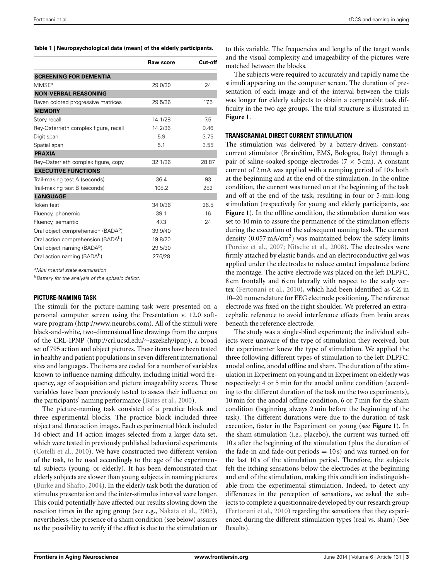<span id="page-2-0"></span>**Table 1 | Neuropsychological data (mean) of the elderly participants.**

|                                                | Raw score | Cut-off |
|------------------------------------------------|-----------|---------|
| <b>SCREENING FOR DEMENTIA</b>                  |           |         |
| <b>MMSE<sup>a</sup></b>                        | 29.0/30   | 24      |
| <b>NON-VERBAL REASONING</b>                    |           |         |
| Raven colored progressive matrices             | 29.5/36   | 17.5    |
| <b>MEMORY</b>                                  |           |         |
| Story recall                                   | 14.1/28   | 7.5     |
| Rey-Osterrieth complex figure, recall          | 14.2/36   | 9.46    |
| Digit span                                     | 5.9       | 3.75    |
| Spatial span                                   | 5.1       | 3.55    |
| <b>PRAXIA</b>                                  |           |         |
| Rey-Osterrieth complex figure, copy            | 32.1/36   | 28.87   |
| <b>EXECUTIVE FUNCTIONS</b>                     |           |         |
| Trail-making test A (seconds)                  | 36.4      | 93      |
| Trail-making test B (seconds)                  | 108.2     | 282     |
| <b>LANGUAGE</b>                                |           |         |
| Token test                                     | 34.0/36   | 26.5    |
| Fluency, phonemic                              | 39.1      | 16      |
| Fluency, semantic                              | 47.3      | 24      |
| Oral object comprehension (BADA <sup>b</sup> ) | 39.9/40   |         |
| Oral action comprehension (BADA <sup>b</sup> ) | 19.8/20   |         |
| Oral object naming (BADA <sup>b</sup> )        | 29.5/30   |         |
| Oral action naming (BADA <sup>b</sup> )        | 27.6/28   |         |

*aMini mental state examination*

*bBattery for the analysis of the aphasic deficit.*

#### **PICTURE-NAMING TASK**

The stimuli for the picture-naming task were presented on a personal computer screen using the Presentation v. 12.0 software program [\(http://www](http://www.neurobs.com)*.*neurobs*.*com). All of the stimuli were black-and-white, two-dimensional line drawings from the corpus of the CRL-IPNP [\(http://crl.ucsd.edu/](http://crl.ucsd.edu/~aszekely/ipnp)∼aszekely/ipnp), a broad set of 795 action and object pictures. These items have been tested in healthy and patient populations in seven different international sites and languages. The items are coded for a number of variables known to influence naming difficulty, including initial word frequency, age of acquisition and picture imageability scores. These variables have been previously tested to assess their influence on the participants' naming performance [\(Bates et al.](#page-7-24), [2000\)](#page-7-24).

The picture-naming task consisted of a practice block and three experimental blocks. The practice block included three object and three action images. Each experimental block included 14 object and 14 action images selected from a larger data set, which were tested in previously published behavioral experiments [\(Cotelli et al., 2010](#page-7-25)). We have constructed two different version of the task, to be used accordingly to the age of the experimental subjects (young, or elderly). It has been demonstrated that elderly subjects are slower than young subjects in naming pictures [\(Burke and Shafto](#page-7-26), [2004](#page-7-26)). In the elderly task both the duration of stimulus presentation and the inter-stimulus interval were longer. This could potentially have affected our results slowing down the reaction times in the aging group (see e.g., [Nakata et al., 2005](#page-7-27)), nevertheless, the presence of a sham condition (see below) assures us the possibility to verify if the effect is due to the stimulation or

to this variable. The frequencies and lengths of the target words and the visual complexity and imageability of the pictures were matched between the blocks.

The subjects were required to accurately and rapidly name the stimuli appearing on the computer screen. The duration of presentation of each image and of the interval between the trials was longer for elderly subjects to obtain a comparable task difficulty in the two age groups. The trial structure is illustrated in **[Figure 1](#page-3-0)**.

### **TRANSCRANIAL DIRECT CURRENT STIMULATION**

The stimulation was delivered by a battery-driven, constantcurrent stimulator (BrainStim, EMS, Bologna, Italy) through a pair of saline-soaked sponge electrodes ( $7 \times 5$  cm). A constant current of 2 mA was applied with a ramping period of 10 s both at the beginning and at the end of the stimulation. In the online condition, the current was turned on at the beginning of the task and off at the end of the task, resulting in four or 5-min-long stimulation (respectively for young and elderly participants, see **[Figure 1](#page-3-0)**). In the offline condition, the stimulation duration was set to 10 min to assure the permanence of the stimulation effects during the execution of the subsequent naming task. The current density  $(0.057 \text{ mA/cm}^2)$  was maintained below the safety limits [\(Poreisz et al., 2007;](#page-8-15) [Nitsche et al.](#page-7-17), [2008\)](#page-7-17). The electrodes were firmly attached by elastic bands, and an electroconductive gel was applied under the electrodes to reduce contact impedance before the montage. The active electrode was placed on the left DLPFC, 8 cm frontally and 6 cm laterally with respect to the scalp vertex [\(Fertonani et al.](#page-7-20), [2010\)](#page-7-20), which had been identified as CZ in 10–20 nomenclature for EEG electrode positioning. The reference electrode was fixed on the right shoulder. We preferred an extracephalic reference to avoid interference effects from brain areas beneath the reference electrode.

The study was a single-blind experiment; the individual subjects were unaware of the type of stimulation they received, but the experimenter knew the type of stimulation. We applied the three following different types of stimulation to the left DLPFC: anodal online, anodal offline and sham. The duration of the stimulation in Experiment on young and in Experiment on elderly was respectively: 4 or 5 min for the anodal online condition (according to the different duration of the task on the two experiments), 10 min for the anodal offline condition, 6 or 7 min for the sham condition (beginning always 2 min before the beginning of the task). The different durations were due to the duration of task execution, faster in the Experiment on young (see **[Figure 1](#page-3-0)**). In the sham stimulation (i.e., placebo), the current was turned off 10 s after the beginning of the stimulation (plus the duration of the fade-in and fade-out periods  $= 10 s$  and was turned on for the last 10 s of the stimulation period. Therefore, the subjects felt the itching sensations below the electrodes at the beginning and end of the stimulation, making this condition indistinguishable from the experimental stimulation. Indeed, to detect any differences in the perception of sensations, we asked the subjects to complete a questionnaire developed by our research group [\(Fertonani et al.](#page-7-20), [2010\)](#page-7-20) regarding the sensations that they experienced during the different stimulation types (real vs. sham) (See Results).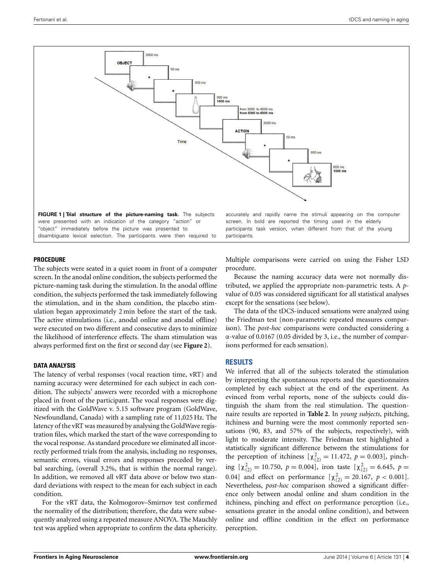

### <span id="page-3-0"></span>**PROCEDURE**

The subjects were seated in a quiet room in front of a computer screen. In the anodal online condition, the subjects performed the picture-naming task during the stimulation. In the anodal offline condition, the subjects performed the task immediately following the stimulation, and in the sham condition, the placebo stimulation began approximately 2 min before the start of the task. The active stimulations (i.e., anodal online and anodal offline) were executed on two different and consecutive days to minimize the likelihood of interference effects. The sham stimulation was always performed first on the first or second day (see **[Figure 2](#page-4-0)**).

#### **DATA ANALYSIS**

The latency of verbal responses (vocal reaction time, vRT) and naming accuracy were determined for each subject in each condition. The subjects' answers were recorded with a microphone placed in front of the participant. The vocal responses were digitized with the GoldWave v. 5.15 software program (GoldWave, Newfoundland, Canada) with a sampling rate of 11,025 Hz. The latency of the vRT was measured by analysing the GoldWave registration files, which marked the start of the wave corresponding to the vocal response. As standard procedure we eliminated all incorrectly performed trials from the analysis, including no responses, semantic errors, visual errors and responses preceded by verbal searching, (overall 3.2%, that is within the normal range). In addition, we removed all vRT data above or below two standard deviations with respect to the mean for each subject in each condition.

For the vRT data, the Kolmogorov–Smirnov test confirmed the normality of the distribution; therefore, the data were subsequently analyzed using a repeated measure ANOVA. The Mauchly test was applied when appropriate to confirm the data sphericity. Multiple comparisons were carried on using the Fisher LSD procedure.

Because the naming accuracy data were not normally distributed, we applied the appropriate non-parametric tests. A *p*value of 0.05 was considered significant for all statistical analyses except for the sensations (see below).

The data of the tDCS-induced sensations were analyzed using the Friedman test (non-parametric repeated measures comparison). The *post-hoc* comparisons were conducted considering a α-value of 0.0167 (0.05 divided by 3, i.e., the number of comparisons performed for each sensation).

## **RESULTS**

We inferred that all of the subjects tolerated the stimulation by interpreting the spontaneous reports and the questionnaires completed by each subject at the end of the experiment. As evinced from verbal reports, none of the subjects could distinguish the sham from the real stimulation. The questionnaire results are reported in **[Table 2](#page-4-1)**. In *young subjects*, pitching, itchiness and burning were the most commonly reported sensations (90, 83, and 57% of the subjects, respectively), with light to moderate intensity. The Friedman test highlighted a statistically significant difference between the stimulations for the perception of itchiness  $[\chi^2_{(2)} = 11.472, p = 0.003]$ , pinching  $[\chi^2_{(2)} = 10.750, p = 0.004]$ , iron taste  $[\chi^2_{(2)} = 6.645, p =$ 0.04] and effect on performance  $[\chi^2_{(2)} = 20.167, p < 0.001]$ . Nevertheless, *post-hoc* comparison showed a significant difference only between anodal online and sham condition in the itchiness, pinching and effect on performance perception (i.e., sensations greater in the anodal online condition), and between online and offline condition in the effect on performance perception.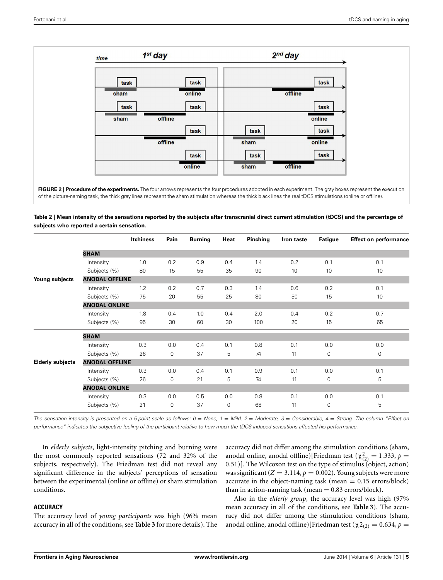

<span id="page-4-0"></span>of the picture-naming task, the thick gray lines represent the sham stimulation whereas the thick black lines the real tDCS stimulations (online or offline).

<span id="page-4-1"></span>**Table 2 | Mean intensity of the sensations reported by the subjects after transcranial direct current stimulation (tDCS) and the percentage of subjects who reported a certain sensation.**

|                         |                       | <b>Itchiness</b> | Pain        | <b>Burning</b> | Heat        | Pinching | Iron taste | Fatigue        | <b>Effect on performance</b> |
|-------------------------|-----------------------|------------------|-------------|----------------|-------------|----------|------------|----------------|------------------------------|
|                         | <b>SHAM</b>           |                  |             |                |             |          |            |                |                              |
|                         | Intensity             | 1.0              | 0.2         | 0.9            | 0.4         | 1.4      | 0.2        | 0.1            | 0.1                          |
|                         | Subjects (%)          | 80               | 15          | 55             | 35          | 90       | 10         | 10             | 10                           |
| Young subjects          | <b>ANODAL OFFLINE</b> |                  |             |                |             |          |            |                |                              |
|                         | Intensity             | 1.2              | 0.2         | 0.7            | 0.3         | 1.4      | 0.6        | 0.2            | 0.1                          |
|                         | Subjects (%)          | 75               | 20          | 55             | 25          | 80       | 50         | 15             | 10                           |
|                         | <b>ANODAL ONLINE</b>  |                  |             |                |             |          |            |                |                              |
|                         | Intensity             | 1.8              | 0.4         | 1.0            | 0.4         | 2.0      | 0.4        | 0.2            | 0.7                          |
|                         | Subjects (%)          | 95               | 30          | 60             | 30          | 100      | 20         | 15             | 65                           |
|                         | <b>SHAM</b>           |                  |             |                |             |          |            |                |                              |
|                         | Intensity             | 0.3              | 0.0         | 0.4            | 0.1         | 0.8      | 0.1        | 0.0            | 0.0                          |
|                         | Subjects (%)          | 26               | 0           | 37             | 5           | 74       | 11         | $\mathbf 0$    | $\mathbf 0$                  |
| <b>Elderly subjects</b> | <b>ANODAL OFFLINE</b> |                  |             |                |             |          |            |                |                              |
|                         | Intensity             | 0.3              | 0.0         | 0.4            | 0.1         | 0.9      | 0.1        | 0.0            | 0.1                          |
|                         | Subjects (%)          | 26               | 0           | 21             | 5           | 74       | 11         | $\mathbf 0$    | 5                            |
|                         | <b>ANODAL ONLINE</b>  |                  |             |                |             |          |            |                |                              |
|                         | Intensity             | 0.3              | 0.0         | 0.5            | 0.0         | 0.8      | 0.1        | 0.0            | 0.1                          |
|                         | Subjects (%)          | 21               | $\mathbf 0$ | 37             | $\mathbf 0$ | 68       | 11         | $\overline{0}$ | 5                            |

*The sensation intensity is presented on a 5-point scale as follows: 0* = *None, 1* = *Mild, 2* = *Moderate, 3* = *Considerable, 4* = *Strong. The column "Effect on performance" indicates the subjective feeling of the participant relative to how much the tDCS-induced sensations affected his performance.*

In *elderly subjects*, light-intensity pitching and burning were the most commonly reported sensations (72 and 32% of the subjects, respectively). The Friedman test did not reveal any significant difference in the subjects' perceptions of sensation between the experimental (online or offline) or sham stimulation conditions.

#### **ACCURACY**

The accuracy level of *young participants* was high (96% mean accuracy in all of the conditions, see **[Table 3](#page-5-0)** for more details). The

accuracy did not differ among the stimulation conditions (sham, anodal online, anodal offline)[Friedman test ( $\chi^2_{(2)} = 1.333$ ,  $p =$ 0*.*51)]. The Wilcoxon test on the type of stimulus (object, action) was significant  $(Z = 3.114, p = 0.002)$ . Young subjects were more accurate in the object-naming task (mean  $= 0.15$  errors/block) than in action-naming task (mean  $= 0.83$  errors/block).

Also in the *elderly group*, the accuracy level was high (97% mean accuracy in all of the conditions, see **[Table 3](#page-5-0)**). The accuracy did not differ among the stimulation conditions (sham, anodal online, anodal offline)[Friedman test ( $\chi$ 2<sub>(2)</sub> = 0.634, *p* =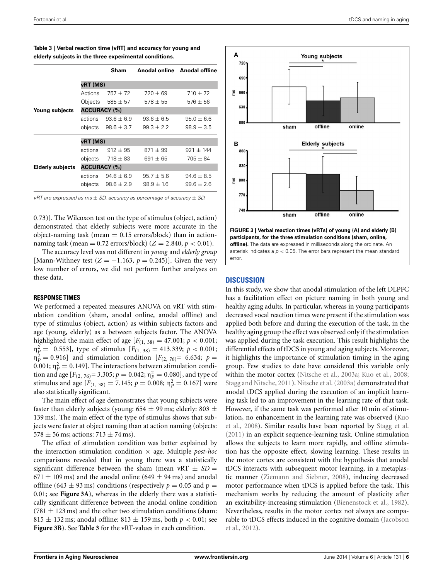|                         |                     | Sham                 |                | Anodal online Anodal offline |  |  |  |  |
|-------------------------|---------------------|----------------------|----------------|------------------------------|--|--|--|--|
|                         | vRT (MS)            |                      |                |                              |  |  |  |  |
|                         | Actions             | $757 \pm 72$         | $720 \pm 69$   | $710 \pm 72$                 |  |  |  |  |
|                         | Objects             | $585 \pm 57$         | $578 \pm 55$   | $576 + 56$                   |  |  |  |  |
| Young subjects          | <b>ACCURACY (%)</b> |                      |                |                              |  |  |  |  |
|                         | actions             | $93.6 + 6.9$         | $93.6 + 6.5$   | $95.0 \pm 6.6$               |  |  |  |  |
|                         | objects             | $98.6 \pm 3.7$       | $99.3 \pm 2.2$ | $98.9 \pm 3.5$               |  |  |  |  |
|                         | vRT (MS)            |                      |                |                              |  |  |  |  |
|                         | actions             | $912 \pm 95$         | $871 \pm 99$   | $921 + 144$                  |  |  |  |  |
|                         |                     | objects $718 \pm 83$ | $691 \pm 65$   | $705 \pm 84$                 |  |  |  |  |
| <b>Elderly subjects</b> | <b>ACCURACY (%)</b> |                      |                |                              |  |  |  |  |
|                         | actions             | $94.6 + 6.9$         | $95.7 + 5.6$   | $94.6 + 8.5$                 |  |  |  |  |
|                         | objects             | $98.6 \pm 2.9$       | $98.9 \pm 1.6$ | $99.6 \pm 2.6$               |  |  |  |  |

<span id="page-5-0"></span>**Table 3 | Verbal reaction time (vRT) and accuracy for young and elderly subjects in the three experimental conditions.**

*vRT are expressed as ms* ± *SD, accuracy as percentage of accuracy* ± *SD.*

0*.*73)]. The Wilcoxon test on the type of stimulus (object, action) demonstrated that elderly subjects were more accurate in the object-naming task (mean  $= 0.15$  errors/block) than in actionnaming task (mean =  $0.72$  errors/block) ( $Z = 2.840$ ,  $p < 0.01$ ).

The accuracy level was not different in *young* and *elderly group* [Mann-Withney test  $(Z = -1.163, p = 0.245)$ ]. Given the very low number of errors, we did not perform further analyses on these data.

## **RESPONSE TIMES**

We performed a repeated measures ANOVA on vRT with stimulation condition (sham, anodal online, anodal offline) and type of stimulus (object, action) as within subjects factors and age (young, elderly) as a between subjects factor. The ANOVA highlighted the main effect of age  $[F_{(1, 38)} = 47.001; p < 0.001;$  $p_{\rm P}^2 = 0.553$ , type of stimulus  $[F_{(1, 38)} = 413.339; p < 0.001;$  $p_1^2 = 0.916$ ] and stimulation condition  $[F_{(2, 76)} = 6.634; p =$ 0.001;  $\eta_P^2 = 0.149$ . The interactions between stimulation condition and age  $[F_{(2, 76)} = 3.305; p = 0.042; \eta_P^2 = 0.080]$ , and type of stimulus and age  $[F_{(1, 38)} = 7.145; p = 0.008; \eta_P^2 = 0.167]$  were also statistically significant.

The main effect of age demonstrates that young subjects were faster than elderly subjects (young:  $654 \pm 99$  ms; elderly:  $803 \pm 19$ 139 ms). The main effect of the type of stimulus shows that subjects were faster at object naming than at action naming (objects:  $578 \pm 56$  ms; actions:  $713 \pm 74$  ms).

The effect of stimulation condition was better explained by the interaction stimulation condition × age. Multiple *post-hoc* comparisons revealed that in young there was a statistically significant difference between the sham (mean vRT  $\pm$  *SD* =  $671 \pm 109$  ms) and the anodal online (649  $\pm$  94 ms) and anodal offline (643  $\pm$  93 ms) conditions (respectively  $p = 0.05$  and  $p =$ 0.01; see **[Figure 3A](#page-5-1)**), whereas in the elderly there was a statistically significant difference between the anodal online condition  $(781 \pm 123 \,\text{ms})$  and the other two stimulation conditions (sham:  $815 \pm 132$  ms; anodal offline:  $813 \pm 159$  ms, both  $p < 0.01$ ; see **[Figure 3B](#page-5-1)**). See **[Table 3](#page-5-0)** for the vRT-values in each condition.



<span id="page-5-1"></span>**FIGURE 3 | Verbal reaction times (vRTs) of young (A) and elderly (B) participants, for the three stimulation conditions (sham, online, offline).** The data are expressed in milliseconds along the ordinate. An asterisk indicates a *p <* 0*.*05. The error bars represent the mean standard error

# **DISCUSSION**

In this study, we show that anodal stimulation of the left DLPFC has a facilitation effect on picture naming in both young and healthy aging adults. In particular, whereas in young participants decreased vocal reaction times were present if the stimulation was applied both before and during the execution of the task, in the healthy aging group the effect was observed only if the stimulation was applied during the task execution. This result highlights the differential effects of tDCS in young and aging subjects. Moreover, it highlights the importance of stimulation timing in the aging group. Few studies to date have considered this variable only within the motor cortex [\(Nitsche et al.](#page-8-16), [2003a](#page-8-16); [Kuo et al., 2008](#page-7-28); [Stagg and Nitsche, 2011](#page-8-9)). [Nitsche et al.](#page-8-16) [\(2003a\)](#page-8-16) demonstrated that anodal tDCS applied during the execution of an implicit learning task led to an improvement in the learning rate of that task. However, if the same task was performed after 10 min of stimulatio[n, no enhancement in the learning rate was observed \(](#page-7-28)Kuo et al., [2008\)](#page-7-28). Similar results have been reported by [Stagg et al.](#page-8-11) [\(2011\)](#page-8-11) in an explicit sequence-learning task. Online stimulation allows the subjects to learn more rapidly, and offline stimulation has the opposite effect, slowing learning. These results in the motor cortex are consistent with the hypothesis that anodal tDCS interacts with subsequent motor learning, in a metaplastic manner [\(Ziemann and Siebner](#page-8-17), [2008\)](#page-8-17), inducing decreased motor performance when tDCS is applied before the task. This mechanism works by reducing the amount of plasticity after an excitability-increasing stimulation [\(Bienenstock et al.](#page-7-29), [1982\)](#page-7-29). Nevertheless, results in the motor cortex not always are comparabl[e to tDCS effects induced in the cognitive domain \(](#page-7-30)Jacobson et al., [2012\)](#page-7-30).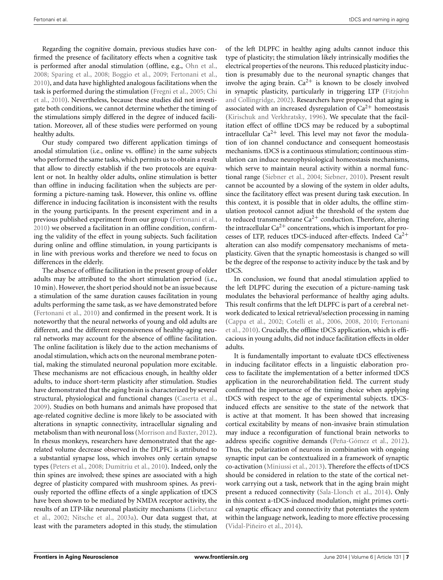Regarding the cognitive domain, previous studies have confirmed the presence of facilitatory effects when a cognitive task is performed after anodal stimulation (offline, e.g., [Ohn et al.,](#page-8-18) [2008](#page-8-18); [Sparing et al.](#page-8-19), [2008](#page-8-19); [Boggio et al.](#page-7-31), [2009](#page-7-31); [Fertonani et al.,](#page-7-20) [2010](#page-7-20)), and data have highlighted analogous facilitations when the task [is](#page-7-33) [performed](#page-7-33) [during](#page-7-33) [the](#page-7-33) [stimulation](#page-7-33) [\(Fregni et al., 2005](#page-7-32)[;](#page-7-33) Chi et al., [2010](#page-7-33)). Nevertheless, because these studies did not investigate both conditions, we cannot determine whether the timing of the stimulations simply differed in the degree of induced facilitation. Moreover, all of these studies were performed on young healthy adults.

Our study compared two different application timings of anodal stimulation (i.e., online vs. offline) in the same subjects who performed the same tasks, which permits us to obtain a result that allow to directly establish if the two protocols are equivalent or not. In healthy older adults, online stimulation is better than offline in inducing facilitation when the subjects are performing a picture-naming task. However, this online vs. offline difference in inducing facilitation is inconsistent with the results in the young participants. In the present experiment and in a previous published experiment from our group [\(Fertonani et al.,](#page-7-20) [2010](#page-7-20)) we observed a facilitation in an offline condition, confirming the validity of the effect in young subjects. Such facilitation during online and offline stimulation, in young participants is in line with previous works and therefore we need to focus on differences in the elderly.

The absence of offline facilitation in the present group of older adults may be attributed to the short stimulation period (i.e., 10 min). However, the short period should not be an issue because a stimulation of the same duration causes facilitation in young adults performing the same task, as we have demonstrated before [\(Fertonani et al.](#page-7-20), [2010\)](#page-7-20) and confirmed in the present work. It is noteworthy that the neural networks of young and old adults are different, and the different responsiveness of healthy-aging neural networks may account for the absence of offline facilitation. The online facilitation is likely due to the action mechanisms of anodal stimulation, which acts on the neuronal membrane potential, making the stimulated neuronal population more excitable. These mechanisms are not efficacious enough, in healthy older adults, to induce short-term plasticity after stimulation. Studies have demonstrated that the aging brain is characterized by several structural, physiological and functional changes [\(Caserta et al.,](#page-7-34) [2009](#page-7-34)). Studies on both humans and animals have proposed that age-related cognitive decline is more likely to be associated with alterations in synaptic connectivity, intracellular signaling and metabolism than with neuronal loss [\(Morrison and Baxter, 2012](#page-7-14)). In rhesus monkeys, researchers have demonstrated that the agerelated volume decrease observed in the DLPFC is attributed to a substantial synapse loss, which involves only certain synapse types [\(Peters et al.](#page-8-4), [2008](#page-8-4); [Dumitriu et al., 2010\)](#page-7-16). Indeed, only the thin spines are involved; these spines are associated with a high degree of plasticity compared with mushroom spines. As previously reported the offline effects of a single application of tDCS have been shown to be mediated by NMDA receptor activity, the resul[ts of an LTP-like neuronal plasticity mechanisms \(](#page-7-18)Liebetanz et al., [2002;](#page-7-18) [Nitsche et al., 2003a\)](#page-8-16). Our data suggest that, at least with the parameters adopted in this study, the stimulation

of the left DLPFC in healthy aging adults cannot induce this type of plasticity; the stimulation likely intrinsically modifies the electrical properties of the neurons. This reduced plasticity induction is presumably due to the neuronal synaptic changes that involve the aging brain.  $Ca^{2+}$  is known to be closely involved in synaptic plas[ticity,](#page-7-35) [particularly](#page-7-35) [in](#page-7-35) [triggering](#page-7-35) [LTP](#page-7-35) [\(](#page-7-35)Fitzjohn and Collingridge, [2002\)](#page-7-35). Researchers have proposed that aging is associated with an increased dysregulation of  $Ca^{2+}$  homeostasis [\(Kirischuk and Verkhratsky, 1996\)](#page-7-36). We speculate that the facilitation effect of offline tDCS may be reduced by a suboptimal intracellular  $Ca^{2+}$  level. This level may not favor the modulation of ion channel conductance and consequent homeostasis mechanisms. tDCS is a continuous stimulation; continuous stimulation can induce neurophysiological homeostasis mechanisms, which serve to maintain neural activity within a normal functional range [\(Siebner et al.](#page-8-20), [2004;](#page-8-20) [Siebner, 2010](#page-8-21)). Present result cannot be accounted by a slowing of the system in older adults, since the facilitatory effect was present during task execution. In this context, it is possible that in older adults, the offline stimulation protocol cannot adjust the threshold of the system due to reduced transmembrane  $Ca^{2+}$  conduction. Therefore, altering the intracellular  $Ca^{2+}$  concentrations, which is important for processes of LTP, reduces tDCS-induced after-effects. Indeed  $Ca^{2+}$ alteration can also modify compensatory mechanisms of metaplasticity. Given that the synaptic homeostasis is changed so will be the degree of the response to activity induce by the task and by tDCS.

In conclusion, we found that anodal stimulation applied to the left DLPFC during the execution of a picture-naming task modulates the behavioral performance of healthy aging adults. This result confirms that the left DLPFC is part of a cerebral network dedicated to lexical retrieval/selection processing in naming [\(Cappa et al., 2002](#page-7-37)[;](#page-7-20) [Cotelli et al., 2006](#page-7-38)[,](#page-7-20) [2008](#page-7-39)[,](#page-7-20) [2010;](#page-7-25) Fertonani et al., [2010\)](#page-7-20). Crucially, the offline tDCS application, which is efficacious in young adults, did not induce facilitation effects in older adults.

It is fundamentally important to evaluate tDCS effectiveness in inducing facilitator effects in a linguistic elaboration process to facilitate the implementation of a better informed tDCS application in the neurorehabilitation field. The current study confirmed the importance of the timing choice when applying tDCS with respect to the age of experimental subjects. tDCSinduced effects are sensitive to the state of the network that is active at that moment. It has been showed that increasing cortical excitability by means of non-invasive brain stimulation may induce a reconfiguration of functional brain networks to address specific cognitive demands [\(Peña-Gómez et al., 2012](#page-8-22)). Thus, the polarization of neurons in combination with ongoing synaptic input can be contextualized in a framework of synaptic co-activation [\(Miniussi et al., 2013](#page-7-40)). Therefore the effects of tDCS should be considered in relation to the state of the cortical network carrying out a task, network that in the aging brain might present a reduced connectivity [\(Sala-Llonch et al., 2014\)](#page-8-23). Only in this context a-tDCS-induced modulation, might primes cortical synaptic efficacy and connectivity that potentiates the system within the language network, leading to more effective processing [\(Vidal-Piñeiro et al.](#page-8-24), [2014\)](#page-8-24).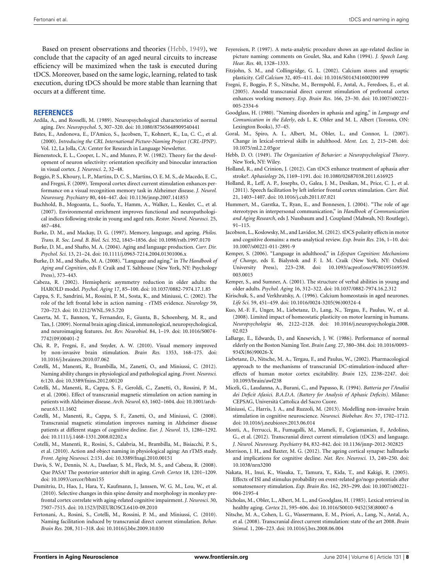Based on present observations and theories [\(Hebb, 1949\)](#page-7-41), we conclude that the capacity of an aged neural circuits to increase efficiency will be maximized when the task is executed during tDCS. Moreover, based on the same logic, learning, related to task execution, during tDCS should be more stable than learning that occurs at a different time.

#### **REFERENCES**

- <span id="page-7-9"></span>Ardila, A., and Rosselli, M. (1989). Neuropsychological characteristics of normal aging. *Dev. Neuropsychol.* 5, 307–320. doi: 10.1080/87565648909540441
- <span id="page-7-24"></span>Bates, E., Andonova, E., D'Amico, S., Jacobsen, T., Kohnert, K., Lu, C. C., et al. (2000). *Introducing the CRL International Picture-Naming Project (CRL-IPNP)*. Vol. 12, La Jolla, CA: Center for Research in Language Newsletter.
- <span id="page-7-29"></span>Bienenstock, E. L., Cooper, L. N., and Munro, P. W. (1982). Theory for the development of neuron selectivity: orientation specificity and binocular interaction in visual cortex. *J. Neurosci.* 2, 32–48.
- <span id="page-7-31"></span>Boggio, P. S., Khoury, L. P., Martins, D. C. S., Martins, O. E. M. S., de Macedo, E. C., and Fregni, F. (2009). Temporal cortex direct current stimulation enhances performance on a visual recognition memory task in Alzheimer disease. *J. Neurol. Neurosurg. Psychiatry* 80, 444–447. doi: 10.1136/jnnp.2007.141853
- <span id="page-7-5"></span>Buchhold, B., Mogoanta, L., Suofu, Y., Hamm, A., Walker, L., Kessler, C., et al. (2007). Environmental enrichment improves functional and neuropathological indices following stroke in young and aged rats. *Restor. Neurol. Neurosci.* 25, 467–484.
- <span id="page-7-12"></span>Burke, D. M., and Mackay, D. G. (1997). Memory, language, and ageing. *Philos. Trans. R. Soc. Lond. B. Biol. Sci.* 352, 1845–1856. doi: 10.1098/rstb.1997.0170
- <span id="page-7-26"></span>Burke, D. M., and Shafto, M. A. (2004). Aging and language production. *Curr. Dir. Psychol. Sci.* 13, 21–24. doi: 10.1111/j.0963-7214.2004.01301006.x
- <span id="page-7-3"></span>Burke, D. M., and Shafto, M. A. (2008). "Language and aging," in *The Handbook of Aging and Cognition*, eds F. Craik and T. Salthouse (New York, NY: Psychology Press), 373–443.
- <span id="page-7-13"></span>Cabeza, R. (2002). Hemispheric asymmetry reduction in older adults: the HAROLD model. *Psychol. Aging* 17, 85–100. doi: 10.1037/0882-7974.17.1.85
- <span id="page-7-37"></span>Cappa, S. F., Sandrini, M., Rossini, P. M., Sosta, K., and Miniussi, C. (2002). The role of the left frontal lobe in action naming - rTMS evidence. *Neurology* 59, 720–723. doi: 10.1212/WNL.59.5.720
- <span id="page-7-34"></span>Caserta, M. T., Bannon, Y., Fernandez, F., Giunta, B., Schoenberg, M. R., and Tan, J. (2009). Normal brain aging clinical, immunological, neuropsychological, and neuroimaging features. *Int. Rev. Neurobiol.* 84, 1–19. doi: 10.1016/S0074- 7742(09)00401-2
- <span id="page-7-33"></span>Chi, R. P., Fregni, F., and Snyder, A. W. (2010). Visual memory improved by non-invasive brain stimulation. *Brain Res.* 1353, 168–175. doi: 10.1016/j.brainres.2010.07.062
- <span id="page-7-0"></span>Cotelli, M., Manenti, R., Brambilla, M., Zanetti, O., and Miniussi, C. (2012). Naming ability changes in physiological and pathological aging. *Front. Neurosci.* 6:120. doi: 10.3389/fnins.2012.00120
- <span id="page-7-38"></span>Cotelli, M., Manenti, R., Cappa, S. F., Geroldi, C., Zanetti, O., Rossini, P. M., et al. (2006). Effect of transcranial magnetic stimulation on action naming in patients with Alzheimer disease. *Arch. Neurol.* 63, 1602–1604. doi: 10.1001/archneur.63.11.1602
- <span id="page-7-39"></span>Cotelli, M., Manenti, R., Cappa, S. F., Zanetti, O., and Miniussi, C. (2008). Transcranial magnetic stimulation improves naming in Alzheimer disease patients at different stages of cognitive decline. *Eur. J. Neurol.* 15, 1286–1292. doi: 10.1111/j.1468-1331.2008.02202.x
- <span id="page-7-25"></span>Cotelli, M., Manenti, R., Rosini, S., Calabria, M., Brambilla, M., Bisiacchi, P. S., et al. (2010). Action and object naming in physiological aging: An rTMS study. *Front. Aging Neurosci.* 2:151. doi: 10.3389/fnagi.2010.00151
- <span id="page-7-15"></span>Davis, S. W., Dennis, N. A., Daselaar, S. M., Fleck, M. S., and Cabeza, R. (2008). Que PASA? The posterior-anterior shift in aging. *Cereb. Cortex* 18, 1201–1209. doi: 10.1093/cercor/bhm155
- <span id="page-7-16"></span>Dumitriu, D., Hao, J., Hara, Y., Kaufmann, J., Janssen, W. G. M., Lou, W., et al. (2010). Selective changes in thin spine density and morphology in monkey prefrontal cortex correlate with aging-related cognitive impairment. *J. Neurosci.* 30, 7507–7515. doi: 10.1523/JNEUROSCI.6410-09.2010
- <span id="page-7-20"></span>Fertonani, A., Rosini, S., Cotelli, M., Rossini, P. M., and Miniussi, C. (2010). Naming facilitation induced by transcranial direct current stimulation. *Behav. Brain Res.* 208, 311–318. doi: 10.1016/j.bbr.2009.10.030
- <span id="page-7-10"></span>Feyereisen, P. (1997). A meta-analytic procedure shows an age-related decline in picture naming: comments on Goulet, Ska, and Kahn (1994). *J. Speech Lang. Hear. Res.* 40, 1328–1333.
- <span id="page-7-35"></span>Fitzjohn, S. M., and Collingridge, G. L. (2002). Calcium stores and synaptic plasticity. *Cell Calcium* 32, 405–411. doi: 10.1016/S0143416002001999
- <span id="page-7-32"></span>Fregni, F., Boggio, P. S., Nitsche, M., Bermpohl, F., Antal, A., Feredoes, E., et al. (2005). Anodal transcranial direct current stimulation of prefrontal cortex enhances working memory. *Exp. Brain Res.* 166, 23–30. doi: 10.1007/s00221- 005-2334-6
- <span id="page-7-6"></span>Goodglass, H. (1980). "Naming disorders in aphasia and aging," in *Language and Comunication in the Ederly*, eds L. K. Obler and M. L. Albert (Toronto, ON: Lexington Books), 37–45.
- <span id="page-7-11"></span>Goral, M., Spiro, A. I., Albert, M., Obler, L., and Connor, L. (2007). Change in lexical-retrieval skills in adulthood. *Ment. Lex.* 2, 215–240. doi: 10.1075/ml.2.2.05gor
- <span id="page-7-41"></span>Hebb, D. O. (1949). *The Organization of Behavior: a Neuropsychological Theory*. New York, NY: Wiley.
- <span id="page-7-21"></span>Holland, R., and Crinion, J. (2012). Can tDCS enhance treatment of aphasia after stroke?. *Aphasiology* 26, 1169–1191. doi: 10.1080/02687038.2011.616925
- <span id="page-7-22"></span>Holland, R., Leff, A. P., Josephs, O., Galea, J. M., Desikan, M., Price, C. J., et al. (2011). Speech facilitation by left inferior frontal cortex stimulation. *Curr. Biol.* 21, 1403–1407. doi: 10.1016/j.cub.2011.07.021
- <span id="page-7-4"></span>Hummert, M., Garstka, T., Ryan, E., and Bonnesen, J. (2004). "The role of age stereotypes in interpersonal communication," in *Handbook of Communication and Aging Research*, eds J. Nussbaum and J. Coupland (Mahwah, NJ: Routlege), 91–115.
- <span id="page-7-30"></span>Jacobson, L., Koslowsky, M., and Lavidor, M. (2012). tDCS polarity effects in motor and cognitive domains: a meta-analytical review. *Exp. brain Res.* 216, 1–10. doi: 10.1007/s00221-011-2891-9
- <span id="page-7-2"></span>Kemper, S. (2006). "Language in adulthood," in *Lifespan Cognition: Mechanisms of Change*, eds E. Bialystok and F. I. M. Craik (New York, NY: Oxford University Press), 223–238. doi: 10.1093/acprof:oso/9780195169539. 003.0015
- <span id="page-7-1"></span>Kemper, S., and Sumner, A. (2001). The structure of verbal abilities in young and older adults. *Psychol. Aging* 16, 312–322. doi: 10.1037/0882-7974.16.2.312
- <span id="page-7-36"></span>Kirischuk, S., and Verkhratsky, A. (1996). Calcium homeostasis in aged neurones. *Life Sci.* 59, 451–459. doi: 10.1016/0024-3205(96)00324-4
- <span id="page-7-28"></span>Kuo, M.-F. F., Unger, M., Liebetanz, D., Lang, N., Tergau, F., Paulus, W., et al. (2008). Limited impact of homeostatic plasticity on motor learning in humans. *Neuropsychologia* 46, 2122–2128. doi: 10.1016/j.neuropsychologia.2008. 02.023
- <span id="page-7-8"></span>LaBarge, E., Edwards, D., and Knesevich, J. W. (1986). Performance of normal elderly on the Boston Naming Test. *Brain Lang.* 27, 380–384. doi: 10.1016/0093- 934X(86)90026-X
- <span id="page-7-18"></span>Liebetanz, D., Nitsche, M. A., Tergau, F., and Paulus, W., (2002). Pharmacological approach to the mechanisms of transcranial DC-stimulation-induced aftereffects of human motor cortex excitability. *Brain* 125, 2238–2247. doi: 10.1093/brain/awf238
- <span id="page-7-23"></span>Miceli, G., Laudanna, A., Burani, C., and Papasso, R. (1994). *Batteria per l'Analisi dei Deficit Afasici. B.A.D.A. (Battery for Analysis of Aphasic Deficits)*. Milano: CEPSAG, Università Cattolica del Sacro Cuore.
- <span id="page-7-40"></span>Miniussi, C., Harris, J. A., and Ruzzoli, M. (2013). Modelling non-invasive brain stimulation in cognitive neuroscience. *Neurosci. Biobehav. Rev.* 37, 1702–1712. doi: 10.1016/j.neubiorev.2013.06.014
- <span id="page-7-19"></span>Monti, A., Ferrucci, R., Fumagalli, M., Mameli, F., Cogiamanian, F., Ardolino, G., et al. (2012). Transcranial direct current stimulation (tDCS) and language. *J. Neurol. Neurosurg. Psychiatry* 84, 832–842. doi: 10.1136/jnnp-2012-302825
- <span id="page-7-14"></span>Morrison, J. H., and Baxter, M. G. (2012). The ageing cortical synapse: hallmarks and implications for cognitive decline. *Nat. Rev. Neurosci.* 13, 240–250. doi: 10.1038/nrn3200
- <span id="page-7-27"></span>Nakata, H., Inui, K., Wasaka, T., Tamura, Y., Kida, T., and Kakigi, R. (2005). Effects of ISI and stimulus probability on event-related go/nogo potentials after somatosensory stimulation. *Exp. Brain Res.* 162, 293–299. doi: 10.1007/s00221- 004-2195-4
- <span id="page-7-7"></span>Nicholas, M., Obler, L., Albert, M. L., and Goodglass, H. (1985). Lexical retrieval in healthy aging. *Cortex* 21, 595–606. doi: 10.1016/S0010-9452(58)80007-6
- <span id="page-7-17"></span>Nitsche, M. A., Cohen, L. G., Wassermann, E. M., Priori, A., Lang, N., Antal, A., et al. (2008). Transcranial direct current stimulation: state of the art 2008. *Brain Stimul.* 1, 206–223. doi: 10.1016/j.brs.2008.06.004